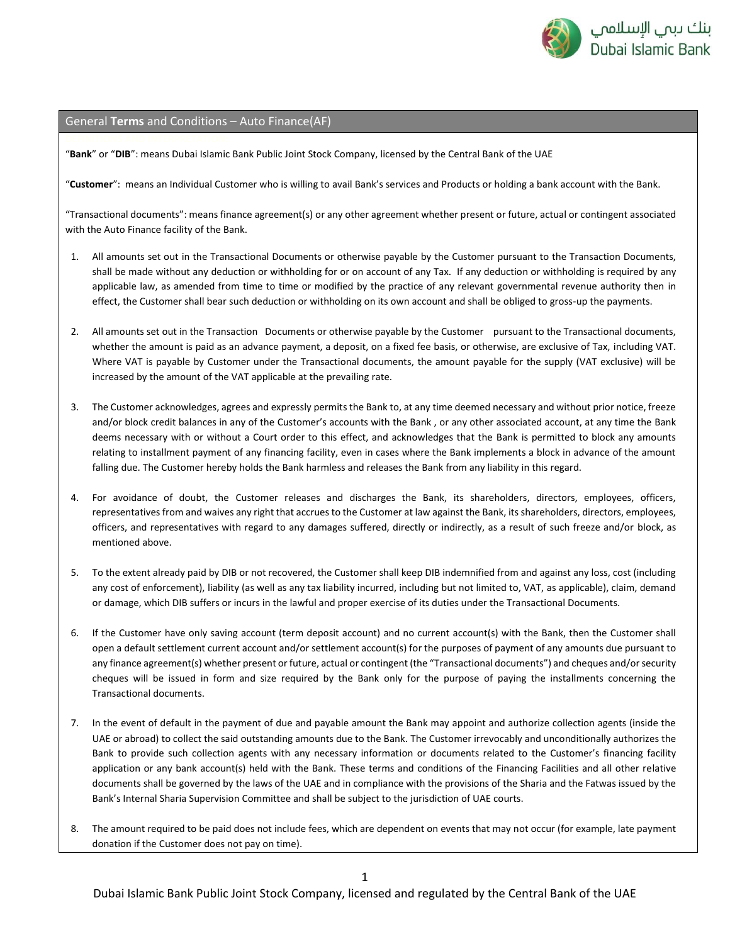

## General **Terms** and Conditions – Auto Finance(AF)

"**Bank**" or "**DIB**": means Dubai Islamic Bank Public Joint Stock Company, licensed by the Central Bank of the UAE

"**Customer**": means an Individual Customer who is willing to avail Bank's services and Products or holding a bank account with the Bank.

"Transactional documents": means finance agreement(s) or any other agreement whether present or future, actual or contingent associated with the Auto Finance facility of the Bank.

- 1. All amounts set out in the Transactional Documents or otherwise payable by the Customer pursuant to the Transaction Documents, shall be made without any deduction or withholding for or on account of any Tax. If any deduction or withholding is required by any applicable law, as amended from time to time or modified by the practice of any relevant governmental revenue authority then in effect, the Customer shall bear such deduction or withholding on its own account and shall be obliged to gross-up the payments.
- 2. All amounts set out in the Transaction Documents or otherwise payable by the Customer pursuant to the Transactional documents, whether the amount is paid as an advance payment, a deposit, on a fixed fee basis, or otherwise, are exclusive of Tax, including VAT. Where VAT is payable by Customer under the Transactional documents, the amount payable for the supply (VAT exclusive) will be increased by the amount of the VAT applicable at the prevailing rate.
- 3. The Customer acknowledges, agrees and expressly permits the Bank to, at any time deemed necessary and without prior notice, freeze and/or block credit balances in any of the Customer's accounts with the Bank , or any other associated account, at any time the Bank deems necessary with or without a Court order to this effect, and acknowledges that the Bank is permitted to block any amounts relating to installment payment of any financing facility, even in cases where the Bank implements a block in advance of the amount falling due. The Customer hereby holds the Bank harmless and releases the Bank from any liability in this regard.
- 4. For avoidance of doubt, the Customer releases and discharges the Bank, its shareholders, directors, employees, officers, representatives from and waives any right that accrues to the Customer at law against the Bank, its shareholders, directors, employees, officers, and representatives with regard to any damages suffered, directly or indirectly, as a result of such freeze and/or block, as mentioned above.
- 5. To the extent already paid by DIB or not recovered, the Customer shall keep DIB indemnified from and against any loss, cost (including any cost of enforcement), liability (as well as any tax liability incurred, including but not limited to, VAT, as applicable), claim, demand or damage, which DIB suffers or incurs in the lawful and proper exercise of its duties under the Transactional Documents.
- 6. If the Customer have only saving account (term deposit account) and no current account(s) with the Bank, then the Customer shall open a default settlement current account and/or settlement account(s) for the purposes of payment of any amounts due pursuant to any finance agreement(s) whether present or future, actual or contingent (the "Transactional documents") and cheques and/or security cheques will be issued in form and size required by the Bank only for the purpose of paying the installments concerning the Transactional documents.
- 7. In the event of default in the payment of due and payable amount the Bank may appoint and authorize collection agents (inside the UAE or abroad) to collect the said outstanding amounts due to the Bank. The Customer irrevocably and unconditionally authorizes the Bank to provide such collection agents with any necessary information or documents related to the Customer's financing facility application or any bank account(s) held with the Bank. These terms and conditions of the Financing Facilities and all other relative documents shall be governed by the laws of the UAE and in compliance with the provisions of the Sharia and the Fatwas issued by the Bank's Internal Sharia Supervision Committee and shall be subject to the jurisdiction of UAE courts.
- 8. The amount required to be paid does not include fees, which are dependent on events that may not occur (for example, late payment donation if the Customer does not pay on time).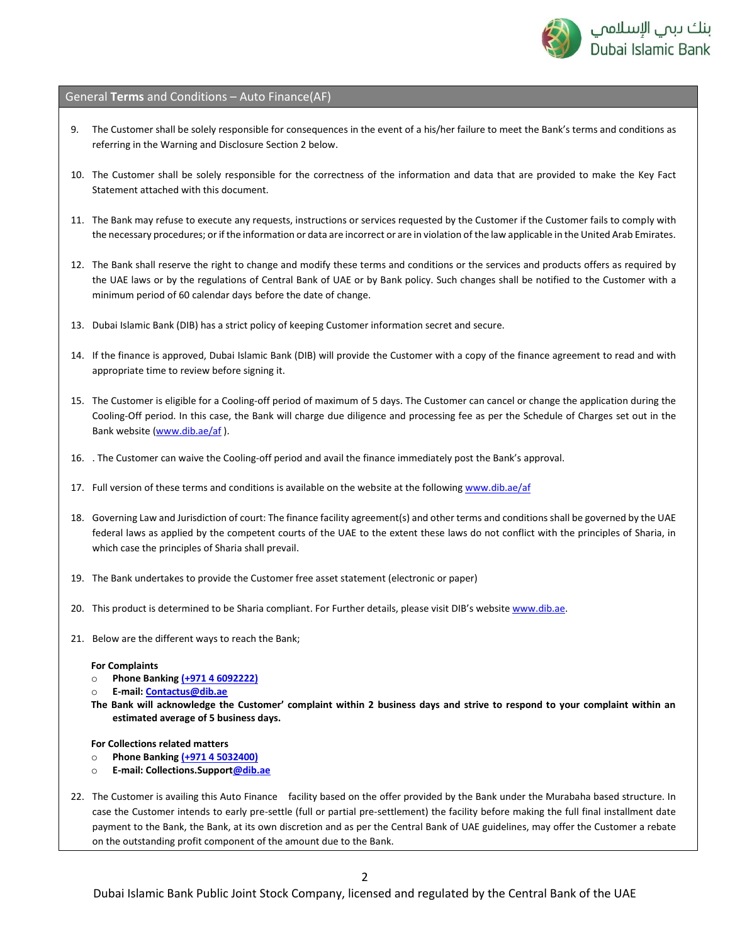

General **Terms** and Conditions – Auto Finance(AF)

- 9. The Customer shall be solely responsible for consequences in the event of a his/her failure to meet the Bank's terms and conditions as referring in the Warning and Disclosure Section 2 below.
- 10. The Customer shall be solely responsible for the correctness of the information and data that are provided to make the Key Fact Statement attached with this document.
- 11. The Bank may refuse to execute any requests, instructions or services requested by the Customer if the Customer fails to comply with the necessary procedures; or if the information or data are incorrect or are in violation of the law applicable in the United Arab Emirates.
- 12. The Bank shall reserve the right to change and modify these terms and conditions or the services and products offers as required by the UAE laws or by the regulations of Central Bank of UAE or by Bank policy. Such changes shall be notified to the Customer with a minimum period of 60 calendar days before the date of change.
- 13. Dubai Islamic Bank (DIB) has a strict policy of keeping Customer information secret and secure.
- 14. If the finance is approved, Dubai Islamic Bank (DIB) will provide the Customer with a copy of the finance agreement to read and with appropriate time to review before signing it.
- 15. The Customer is eligible for a Cooling-off period of maximum of 5 days. The Customer can cancel or change the application during the Cooling-Off period. In this case, the Bank will charge due diligence and processing fee as per the Schedule of Charges set out in the Bank website [\(www.dib.ae/af](http://www.dib.ae/terms-and-conditions) ).
- 16. . The Customer can waive the Cooling-off period and avail the finance immediately post the Bank's approval.
- 17. Full version of these terms and conditions is available on the website at the followin[g www.dib.ae/af](http://www.dib.ae/af)
- 18. Governing Law and Jurisdiction of court: The finance facility agreement(s) and other terms and conditions shall be governed by the UAE federal laws as applied by the competent courts of the UAE to the extent these laws do not conflict with the principles of Sharia, in which case the principles of Sharia shall prevail.
- 19. The Bank undertakes to provide the Customer free asset statement (electronic or paper)
- 20. This product is determined to be Sharia compliant. For Further details, please visit DIB's website [www.dib.ae.](http://www.dib.ae/)
- 21. Below are the different ways to reach the Bank;

## **For Complaints**

- o **Phone Bankin[g \(+971 4 6092222\)](tel:0097146092222)**
- o **E-mail[: Contactus@dib.ae](mailto:Contactus@dib.ae)**
- **The Bank will acknowledge the Customer' complaint within 2 business days and strive to respond to your complaint within an estimated average of 5 business days.**

## **For Collections related matters**

- o **Phone Bankin[g \(+971 4 5032400\)](tel:0097146092222)**
- o **E-mail: Collections.Suppor[t@dib.ae](mailto:Contactus@dib.ae)**
- 22. The Customer is availing this Auto Finance facility based on the offer provided by the Bank under the Murabaha based structure. In case the Customer intends to early pre-settle (full or partial pre-settlement) the facility before making the full final installment date payment to the Bank, the Bank, at its own discretion and as per the Central Bank of UAE guidelines, may offer the Customer a rebate on the outstanding profit component of the amount due to the Bank.